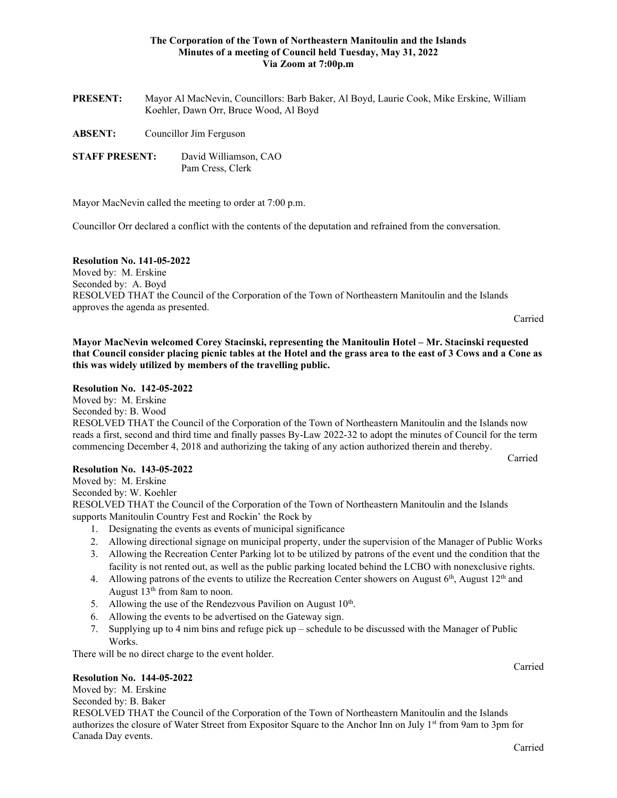## **The Corporation of the Town of Northeastern Manitoulin and the Islands Minutes of a meeting of Council held Tuesday, May 31, 2022 Via Zoom at 7:00p.m**

| <b>PRESENT:</b>       | Mayor Al MacNevin, Councillors: Barb Baker, Al Boyd, Laurie Cook, Mike Erskine, William<br>Koehler, Dawn Orr, Bruce Wood, Al Boyd |                                           |
|-----------------------|-----------------------------------------------------------------------------------------------------------------------------------|-------------------------------------------|
| <b>ABSENT:</b>        | Councillor Jim Ferguson                                                                                                           |                                           |
| <b>STAFF PRESENT:</b> |                                                                                                                                   | David Williamson, CAO<br>Pam Cress, Clerk |

Mayor MacNevin called the meeting to order at 7:00 p.m.

Councillor Orr declared a conflict with the contents of the deputation and refrained from the conversation.

## **Resolution No. 141-05-2022**

Moved by: M. Erskine Seconded by: A. Boyd RESOLVED THAT the Council of the Corporation of the Town of Northeastern Manitoulin and the Islands approves the agenda as presented.

Carried

**Mayor MacNevin welcomed Corey Stacinski, representing the Manitoulin Hotel – Mr. Stacinski requested that Council consider placing picnic tables at the Hotel and the grass area to the east of 3 Cows and a Cone as this was widely utilized by members of the travelling public.**

#### **Resolution No. 142-05-2022**

Moved by: M. Erskine

Seconded by: B. Wood

RESOLVED THAT the Council of the Corporation of the Town of Northeastern Manitoulin and the Islands now reads a first, second and third time and finally passes By-Law 2022-32 to adopt the minutes of Council for the term commencing December 4, 2018 and authorizing the taking of any action authorized therein and thereby.

Carried

#### **Resolution No. 143-05-2022**

Moved by: M. Erskine

Seconded by: W. Koehler

RESOLVED THAT the Council of the Corporation of the Town of Northeastern Manitoulin and the Islands supports Manitoulin Country Fest and Rockin' the Rock by

- 1. Designating the events as events of municipal significance
- 2. Allowing directional signage on municipal property, under the supervision of the Manager of Public Works
- 3. Allowing the Recreation Center Parking lot to be utilized by patrons of the event und the condition that the facility is not rented out, as well as the public parking located behind the LCBO with nonexclusive rights.
- 4. Allowing patrons of the events to utilize the Recreation Center showers on August  $6<sup>th</sup>$ , August  $12<sup>th</sup>$  and August  $13<sup>th</sup>$  from 8am to noon.
- 5. Allowing the use of the Rendezvous Pavilion on August  $10^{th}$ .
- 6. Allowing the events to be advertised on the Gateway sign.
- 7. Supplying up to 4 nim bins and refuge pick up schedule to be discussed with the Manager of Public Works.

There will be no direct charge to the event holder.

#### **Resolution No. 144-05-2022**

Moved by: M. Erskine Seconded by: B. Baker RESOLVED THAT the Council of the Corporation of the Town of Northeastern Manitoulin and the Islands authorizes the closure of Water Street from Expositor Square to the Anchor Inn on July 1<sup>st</sup> from 9am to 3pm for Canada Day events.

Carried

Carried